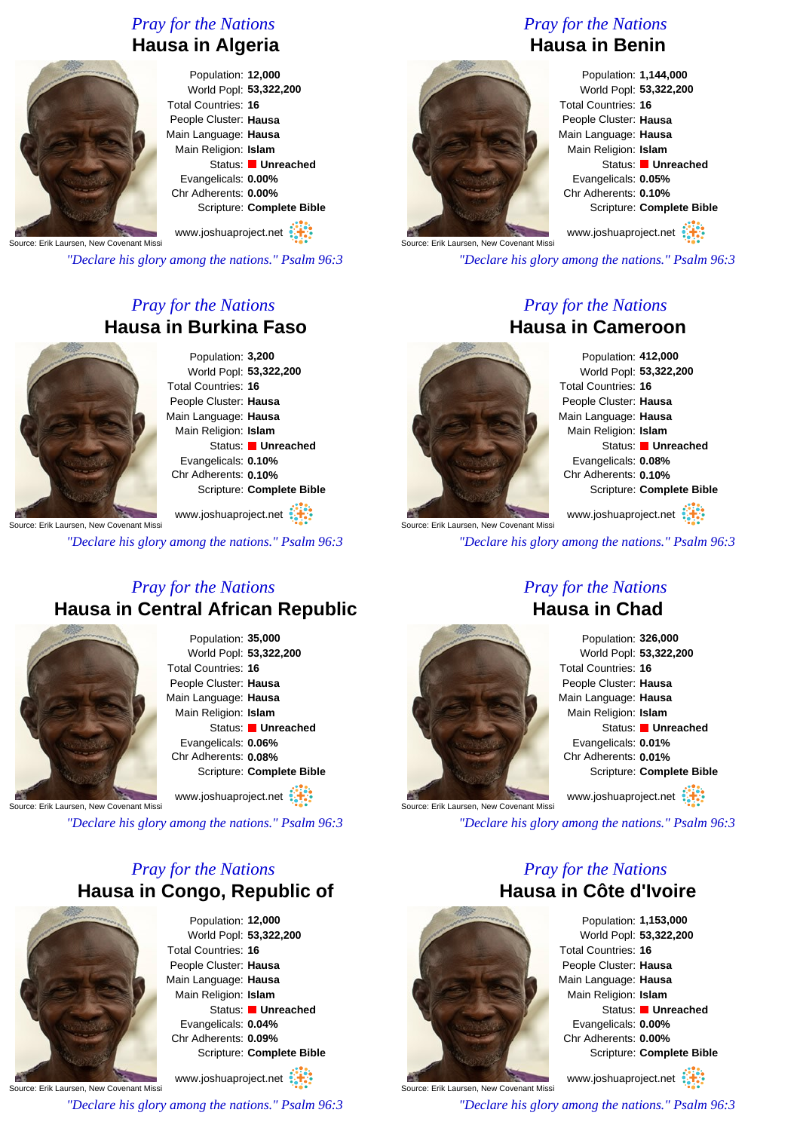### *Pray for the Nations* **Hausa in Algeria**

Population: **12,000** World Popl: **53,322,200** Total Countries: **16** People Cluster: **Hausa** Main Language: **Hausa** Main Religion: **Islam** Status: **Unreached** Evangelicals: **0.00%** Chr Adherents: **0.00%** Scripture: **Complete Bible**

Source: Erik Laursen, New Covenant Miss www.joshuaproject.net

*"Declare his glory among the nations." Psalm 96:3*

## *Pray for the Nations* **Hausa in Burkina Faso**

Population: **3,200** World Popl: **53,322,200** Total Countries: **16** People Cluster: **Hausa** Main Language: **Hausa** Main Religion: **Islam** Status: **Unreached** Evangelicals: **0.10%** Chr Adherents: **0.10%** Scripture: **Complete Bible**

Source: Erik Laursen, New Covenant Miss www.joshuaproject.net

*"Declare his glory among the nations." Psalm 96:3*

### *Pray for the Nations* **Hausa in Central African Republic**



Population: **35,000** World Popl: **53,322,200** Total Countries: **16** People Cluster: **Hausa** Main Language: **Hausa** Main Religion: **Islam** Status: **Unreached** Evangelicals: **0.06%** Chr Adherents: **0.08%** Scripture: **Complete Bible**

Source: Erik Laursen, New Covenant Missi www.joshuaproject.net

*"Declare his glory among the nations." Psalm 96:3*

## *Pray for the Nations* **Hausa in Congo, Republic of**



Population: **12,000** World Popl: **53,322,200** Total Countries: **16** People Cluster: **Hausa** Main Language: **Hausa** Main Religion: **Islam** Status: **Unreached** Evangelicals: **0.04%** Chr Adherents: **0.09%** Scripture: **Complete Bible** www.joshuaproject.net

Source: Erik Laursen, New Covenant Missi

*"Declare his glory among the nations." Psalm 96:3*

# *Pray for the Nations* **Hausa in Benin**



Population: **1,144,000** World Popl: **53,322,200** Total Countries: **16** People Cluster: **Hausa** Main Language: **Hausa** Main Religion: **Islam** Status: **Unreached** Evangelicals: **0.05%** Chr Adherents: **0.10%** Scripture: **Complete Bible**

www.joshuaproject.net

*"Declare his glory among the nations." Psalm 96:3*

#### *Pray for the Nations* **Hausa in Cameroon**



Population: **412,000** World Popl: **53,322,200** Total Countries: **16** People Cluster: **Hausa** Main Language: **Hausa** Main Religion: **Islam** Status: **Unreached** Evangelicals: **0.08%** Chr Adherents: **0.10%** Scripture: **Complete Bible**

Irce: Erik Laursen, New Covenant Miss www.joshuaproject.net

*"Declare his glory among the nations." Psalm 96:3*

#### *Pray for the Nations* **Hausa in Chad**



Source: Erik Laursen, New Covenant Mis

Population: **326,000** World Popl: **53,322,200** Total Countries: **16** People Cluster: **Hausa** Main Language: **Hausa** Main Religion: **Islam** Status: **Unreached** Evangelicals: **0.01%** Chr Adherents: **0.01%** Scripture: **Complete Bible** www.joshuaproject.net

*"Declare his glory among the nations." Psalm 96:3*

### *Pray for the Nations* **Hausa in Côte d'Ivoire**



Source: Erik Laursen, New Covenant Missi

Population: **1,153,000** World Popl: **53,322,200** Total Countries: **16** People Cluster: **Hausa** Main Language: **Hausa** Main Religion: **Islam** Status: **Unreached** Evangelicals: **0.00%** Chr Adherents: **0.00%** Scripture: **Complete Bible**

www.joshuaproject.net

*"Declare his glory among the nations." Psalm 96:3*

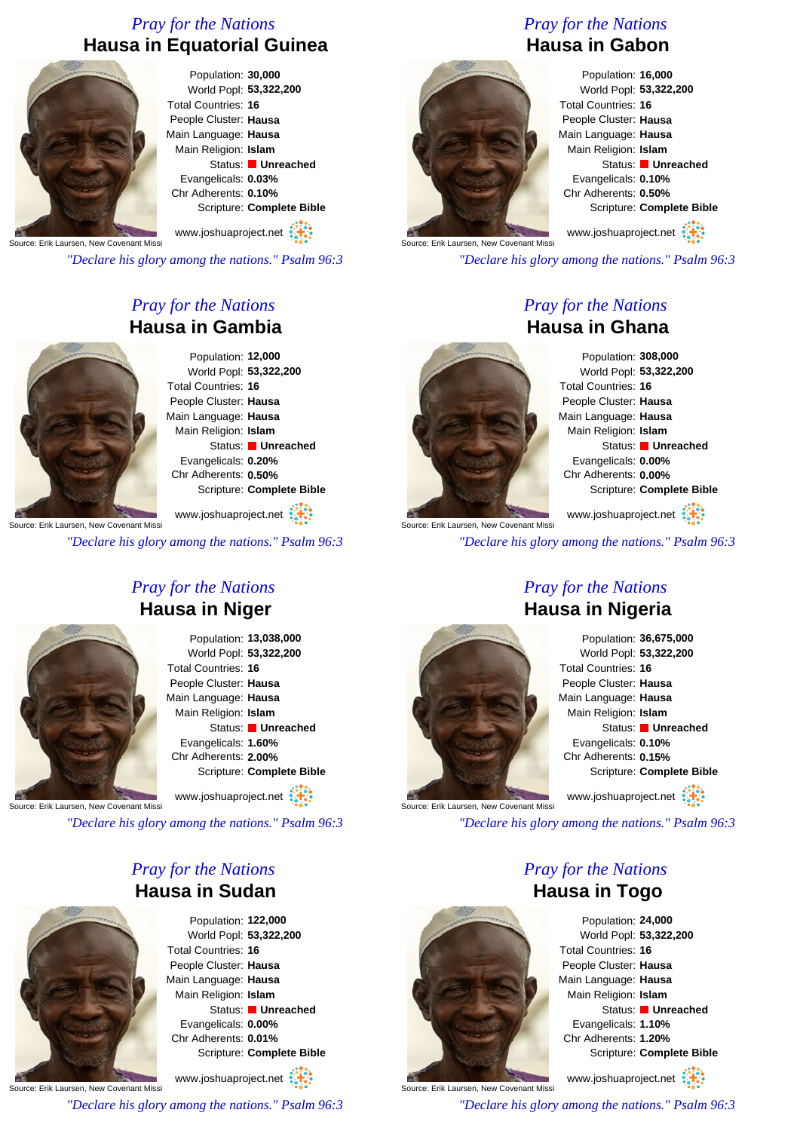### *Pray for the Nations* **Hausa in Equatorial Guinea**



Population: **30,000** World Popl: **53,322,200** Total Countries: **16** People Cluster: **Hausa** Main Language: **Hausa** Main Religion: **Islam** Status: **Unreached** Evangelicals: **0.03%** Chr Adherents: **0.10%**

Scripture: **Complete Bible** www.joshuaproject.net

Source: Erik Laursen, New Covenant Miss

*"Declare his glory among the nations." Psalm 96:3*

### *Pray for the Nations* **Hausa in Gambia**



Population: **12,000** World Popl: **53,322,200** Total Countries: **16** People Cluster: **Hausa** Main Language: **Hausa** Main Religion: **Islam** Status: **Unreached** Evangelicals: **0.20%** Chr Adherents: **0.50%** Scripture: **Complete Bible**

**Source: Erik Laursen, New Covenant Miss** www.joshuaproject.net

*"Declare his glory among the nations." Psalm 96:3*



### *Pray for the Nations* **Hausa in Niger**

Population: **13,038,000** World Popl: **53,322,200** Total Countries: **16** People Cluster: **Hausa** Main Language: **Hausa** Main Religion: **Islam** Status: **Unreached** Evangelicals: **1.60%** Chr Adherents: **2.00%** Scripture: **Complete Bible** www.joshuaproject.net

Source: Erik Laursen, New Covenant Missi

*"Declare his glory among the nations." Psalm 96:3*

### *Pray for the Nations* **Hausa in Sudan**



Population: **122,000** World Popl: **53,322,200** Total Countries: **16** People Cluster: **Hausa** Main Language: **Hausa** Main Religion: **Islam** Status: **Unreached** Evangelicals: **0.00%** Chr Adherents: **0.01%** Scripture: **Complete Bible**

Source: Erik Laursen, New Covenant Missi www.joshuaproject.net

*"Declare his glory among the nations." Psalm 96:3*

## *Pray for the Nations* **Hausa in Gabon**



Population: **16,000** World Popl: **53,322,200** Total Countries: **16** People Cluster: **Hausa** Main Language: **Hausa** Main Religion: **Islam** Status: **Unreached** Evangelicals: **0.10%** Chr Adherents: **0.50%** Scripture: **Complete Bible**

Source: Erik Laursen, New Covenant Miss www.joshuaproject.net

*"Declare his glory among the nations." Psalm 96:3*

#### *Pray for the Nations* **Hausa in Ghana**



Population: **308,000** World Popl: **53,322,200** Total Countries: **16** People Cluster: **Hausa** Main Language: **Hausa** Main Religion: **Islam** Status: **Unreached** Evangelicals: **0.00%** Chr Adherents: **0.00%** Scripture: **Complete Bible**

www.joshuaproject.net

*"Declare his glory among the nations." Psalm 96:3*

#### *Pray for the Nations* **Hausa in Nigeria**



Source: Erik Laursen, New Covenant Missi

Population: **36,675,000** World Popl: **53,322,200** Total Countries: **16** People Cluster: **Hausa** Main Language: **Hausa** Main Religion: **Islam** Status: **Unreached** Evangelicals: **0.10%** Chr Adherents: **0.15%** Scripture: **Complete Bible** www.joshuaproject.net

*"Declare his glory among the nations." Psalm 96:3*

#### *Pray for the Nations* **Hausa in Togo**



www.joshuaproject.net

*"Declare his glory among the nations." Psalm 96:3*